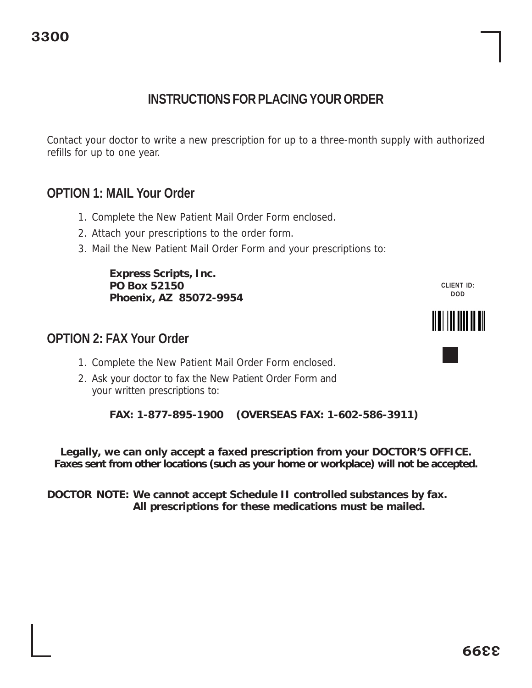# **INSTRUCTIONS FOR PLACING YOUR ORDER**

Contact your doctor to write a new prescription for up to a three-month supply with authorized refills for up to one year.

## **OPTION 1: MAIL Your Order**

- 1. Complete the New Patient Mail Order Form enclosed.
- 2. Attach your prescriptions to the order form.
- 3. Mail the New Patient Mail Order Form and your prescriptions to:

**Express Scripts, Inc. PO Box 52150 Phoenix, AZ 85072-9954**

#### **OPTION 2: FAX Your Order**



2. Ask your doctor to fax the New Patient Order Form and your written prescriptions to:

**FAX: 1-877-895-1900 (OVERSEAS FAX: 1-602-586-3911)**

**Legally, we can only accept a faxed prescription from your DOCTOR'S OFFICE. Faxes sent from other locations (such as your home or workplace) will not be accepted.**

**DOCTOR NOTE: We cannot accept Schedule II controlled substances by fax. All prescriptions for these medications must be mailed.**

**CLIENT ID: DOD**

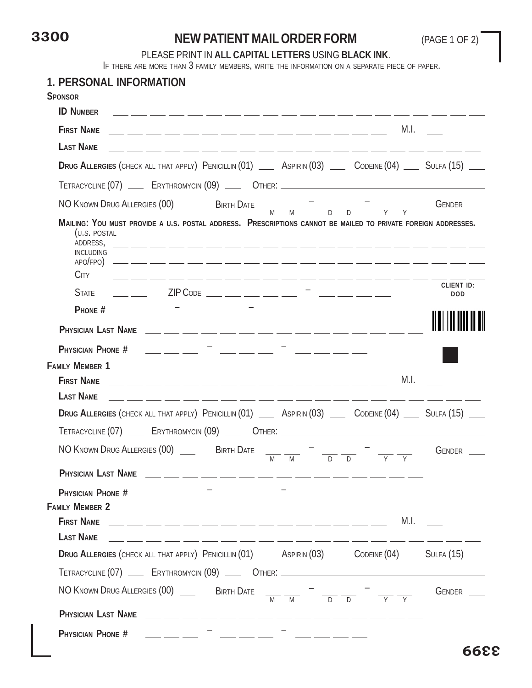# **3300**

### **NEW PATIENT MAIL ORDER FORM** (PAGE 1 OF 2)

#### PLEASE PRINT IN **ALL CAPITAL LETTERS** USING **BLACK INK**.

IF THERE ARE MORE THAN 3 FAMILY MEMBERS, WRITE THE INFORMATION ON <sup>A</sup> SEPARATE PIECE OF PAPER.

| 1. PERSONAL INFORMATION                                                                                                                                                                                                                                                                                                                                                                                                                                                                                                                                                                   |                                              |
|-------------------------------------------------------------------------------------------------------------------------------------------------------------------------------------------------------------------------------------------------------------------------------------------------------------------------------------------------------------------------------------------------------------------------------------------------------------------------------------------------------------------------------------------------------------------------------------------|----------------------------------------------|
| <b>SPONSOR</b><br><b>ID NUMBER</b><br><u> 2002 - Andrea Andrea (Andrea Andrea Andrea) e a contra a contra a contra a contra a contra a contra a contra </u>                                                                                                                                                                                                                                                                                                                                                                                                                               |                                              |
| <b>FIRST NAME</b>                                                                                                                                                                                                                                                                                                                                                                                                                                                                                                                                                                         | M.I.                                         |
| <b>LAST NAME</b><br>____________________                                                                                                                                                                                                                                                                                                                                                                                                                                                                                                                                                  |                                              |
| DRUG ALLERGIES (CHECK ALL THAT APPLY) PENICILLIN (01) ___ ASPIRIN (03) ___ CODEINE (04) ___ SULFA (15) ___                                                                                                                                                                                                                                                                                                                                                                                                                                                                                |                                              |
| TETRACYCLINE (07) ____ ERYTHROMYCIN (09) ____ OTHER: ____________________________                                                                                                                                                                                                                                                                                                                                                                                                                                                                                                         |                                              |
| NO KNOWN DRUG ALLERGIES (00) ______ BIRTH DATE $\frac{1}{M} \frac{1}{M} = \frac{1}{D} \frac{1}{D}$                                                                                                                                                                                                                                                                                                                                                                                                                                                                                        | GENDER __                                    |
| MAILING: YOU MUST PROVIDE A U.S. POSTAL ADDRESS. PRESCRIPTIONS CANNOT BE MAILED TO PRIVATE FOREIGN ADDRESSES.<br>(U.S. POSTAL<br>ADDRESS,<br><u> 1988 - Andrea Andrew Andrew Andrew Andrew Andrew Andrew Andrew Andrew Andrew Andrew Andrew Andrew Andrew Andr</u><br><b>INCLUDING</b><br><b>CITY</b><br><u> 1992 - Andrea Ann ann ann ann ann ann ann an 1992. Tha ann an 1992 ann an 1992 ann an 1992. Tha ann an 1992 a</u>                                                                                                                                                            |                                              |
| $ZIP$ Code $\_\_\_\_\_\_\_\_\_\_\_\_\_\_\_\_\_\_\_\_\_$<br><b>STATE</b>                                                                                                                                                                                                                                                                                                                                                                                                                                                                                                                   | <b>CLIENT ID:</b><br><b>DOD</b>              |
| <u> 1999 - Jan Barbara (b. 1989)</u><br>PHONE $#$<br><u>المستقل المستقل المستقل المستقل</u>                                                                                                                                                                                                                                                                                                                                                                                                                                                                                               |                                              |
|                                                                                                                                                                                                                                                                                                                                                                                                                                                                                                                                                                                           |                                              |
| $\frac{1}{1-\frac{1}{2}}\left( \frac{1}{1-\frac{1}{2}}\right) =\frac{1}{1-\frac{1}{2}}\left( \frac{1}{1-\frac{1}{2}}\right) =\frac{1}{1-\frac{1}{2}}\left( \frac{1}{1-\frac{1}{2}}\right) =\frac{1}{1-\frac{1}{2}}\left( \frac{1}{1-\frac{1}{2}}\right) =\frac{1}{1-\frac{1}{2}}\left( \frac{1}{1-\frac{1}{2}}\right) =\frac{1}{1-\frac{1}{2}}\left( \frac{1}{1-\frac{1}{2}}\right) =\frac{1}{1-\frac{1}{2}}\left( \frac{1}{1$<br>PHYSICIAN PHONE #<br>$\frac{1}{2} \left( \frac{1}{2} \frac{1}{2} \right) \left( \frac{1}{2} \frac{1}{2} \right) \left( \frac{1}{2} \frac{1}{2} \right)$ | <u>المستحدد المستحدد المستحد</u>             |
| <b>FAMILY MEMBER 1</b>                                                                                                                                                                                                                                                                                                                                                                                                                                                                                                                                                                    |                                              |
| <b>FIRST NAME</b><br><u> 1999 - Jan 1999 - Andrew Alexander (d. 19</u>                                                                                                                                                                                                                                                                                                                                                                                                                                                                                                                    | M.I.                                         |
| <b>LAST NAME</b><br>للمناسب المساريسين المساريسين المساريسين المساريسين المساريسين المساريسين المساريسين المساريسين المساريسين وا                                                                                                                                                                                                                                                                                                                                                                                                                                                         |                                              |
| DRUG ALLERGIES (CHECK ALL THAT APPLY) PENICILLIN (01) __ ASPIRIN (03) __ CODEINE (04) __ SULFA (15) __                                                                                                                                                                                                                                                                                                                                                                                                                                                                                    |                                              |
| TETRACYCLINE (07) ____ ERYTHROMYCIN (09) ____ OTHER: ____________________________                                                                                                                                                                                                                                                                                                                                                                                                                                                                                                         |                                              |
| NO KNOWN DRUG ALLERGIES (00) ______ BIRTH DATE<br>M<br>M                                                                                                                                                                                                                                                                                                                                                                                                                                                                                                                                  | $G$ ENDER $\_\_$<br>$\overline{D}$<br>$\Box$ |
|                                                                                                                                                                                                                                                                                                                                                                                                                                                                                                                                                                                           |                                              |
| PHYSICIAN PHONE #<br>للمستحدث أستنقذ أستحدث<br><b>FAMILY MEMBER 2</b>                                                                                                                                                                                                                                                                                                                                                                                                                                                                                                                     |                                              |
| <b>FIRST NAME</b><br><u> 1999 - Johann Harry Marie II, marrow amerikan pada 1999 - Johann Harry Marie II, mengembang pada 1999 - Johann Harry Maria II, mengembang pada 1999 - Johann Harry Maria II, menyebarkan pada 1999 - Johann Harry Maria II, </u>                                                                                                                                                                                                                                                                                                                                 | M.I.                                         |
| <b>LAST NAME</b><br>_____________________________                                                                                                                                                                                                                                                                                                                                                                                                                                                                                                                                         |                                              |
| DRUG ALLERGIES (CHECK ALL THAT APPLY) PENICILLIN (01) __ ASPIRIN (03) __ CODEINE (04) __ SULFA (15) __                                                                                                                                                                                                                                                                                                                                                                                                                                                                                    |                                              |
| TETRACYCLINE (07) ___ ERYTHROMYCIN (09) ___ OTHER: ______________________________                                                                                                                                                                                                                                                                                                                                                                                                                                                                                                         |                                              |
|                                                                                                                                                                                                                                                                                                                                                                                                                                                                                                                                                                                           | GENDER __<br>$\overline{Y}$                  |
|                                                                                                                                                                                                                                                                                                                                                                                                                                                                                                                                                                                           |                                              |
| PHYSICIAN PHONE #                                                                                                                                                                                                                                                                                                                                                                                                                                                                                                                                                                         | - <sub>-</sub> - - - -                       |